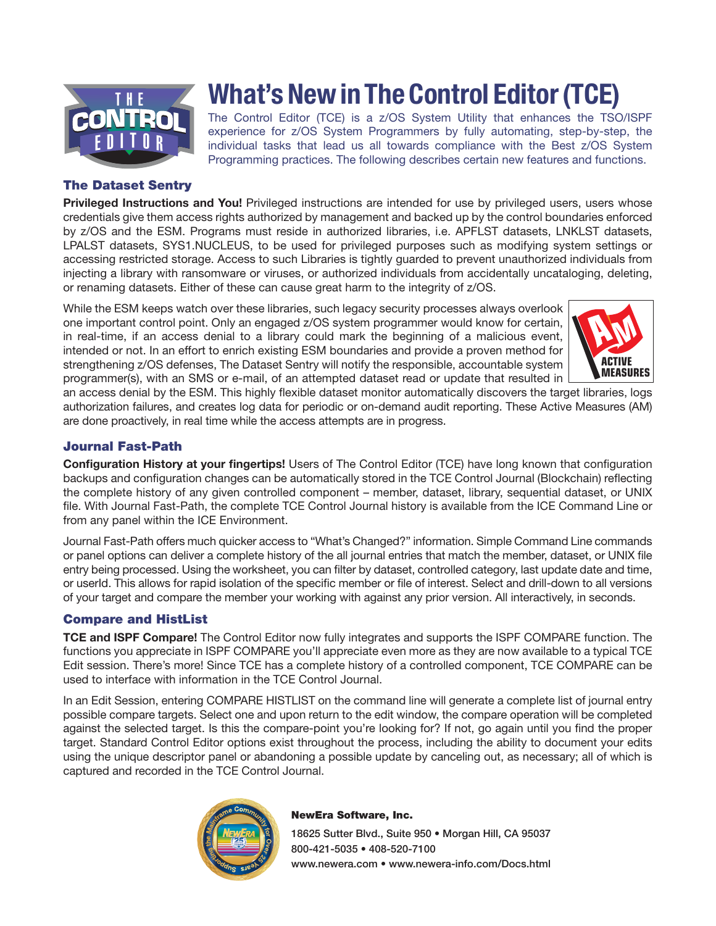

## The Dataset Sentry

**Privileged Instructions and You!** Privileged instructions are intended for use by privileged users, users whose credentials give them access rights authorized by management and backed up by the control boundaries enforced by z/OS and the ESM. Programs must reside in authorized libraries, i.e. APFLST datasets, LNKLST datasets, LPALST datasets, SYS1.NUCLEUS, to be used for privileged purposes such as modifying system settings or accessing restricted storage. Access to such Libraries is tightly guarded to prevent unauthorized individuals from injecting a library with ransomware or viruses, or authorized individuals from accidentally uncataloging, deleting, or renaming datasets. Either of these can cause great harm to the integrity of z/OS.

What's New in The Control Editor (TCE)

The Control Editor (TCE) is a z/OS System Utility that enhances the TSO/ISPF experience for z/OS System Programmers by fully automating, step-by-step, the individual tasks that lead us all towards compliance with the Best z/OS System Programming practices. The following describes certain new features and functions.

While the ESM keeps watch over these libraries, such legacy security processes always overlook one important control point. Only an engaged z/OS system programmer would know for certain, in real-time, if an access denial to a library could mark the beginning of a malicious event, intended or not. In an effort to enrich existing ESM boundaries and provide a proven method for strengthening z/OS defenses, The Dataset Sentry will notify the responsible, accountable system programmer(s), with an SMS or e-mail, of an attempted dataset read or update that resulted in



an access denial by the ESM. This highly flexible dataset monitor automatically discovers the target libraries, logs authorization failures, and creates log data for periodic or on-demand audit reporting. These Active Measures (AM) are done proactively, in real time while the access attempts are in progress.

## Journal Fast-Path

Configuration History at your fingertips! Users of The Control Editor (TCE) have long known that configuration backups and configuration changes can be automatically stored in the TCE Control Journal (Blockchain) reflecting the complete history of any given controlled component – member, dataset, library, sequential dataset, or UNIX file. With Journal Fast-Path, the complete TCE Control Journal history is available from the ICE Command Line or from any panel within the ICE Environment.

Journal Fast-Path offers much quicker access to "What's Changed?" information. Simple Command Line commands or panel options can deliver a complete history of the all journal entries that match the member, dataset, or UNIX file entry being processed. Using the worksheet, you can filter by dataset, controlled category, last update date and time, or userId. This allows for rapid isolation of the specific member or file of interest. Select and drill-down to all versions of your target and compare the member your working with against any prior version. All interactively, in seconds.

### Compare and HistList

**TCE and ISPF Compare!** The Control Editor now fully integrates and supports the ISPF COMPARE function. The functions you appreciate in ISPF COMPARE you'll appreciate even more as they are now available to a typical TCE Edit session. There's more! Since TCE has a complete history of a controlled component, TCE COMPARE can be used to interface with information in the TCE Control Journal.

In an Edit Session, entering COMPARE HISTLIST on the command line will generate a complete list of journal entry possible compare targets. Select one and upon return to the edit window, the compare operation will be completed against the selected target. Is this the compare-point you're looking for? If not, go again until you find the proper target. Standard Control Editor options exist throughout the process, including the ability to document your edits using the unique descriptor panel or abandoning a possible update by canceling out, as necessary; all of which is captured and recorded in the TCE Control Journal.



#### NewEra Software, Inc.

18625 Sutter Blvd., Suite 950 • Morgan Hill, CA 95037 800-421-5035 • 408-520-7100 www.newera.com • www.newera-info.com/Docs.html